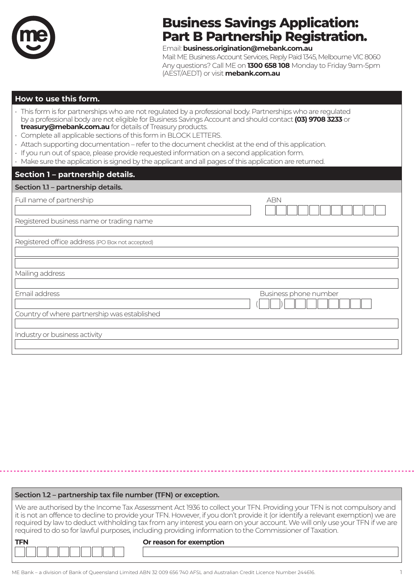

# **Business Savings Application: Part B Partnership Registration.**

Email: **business.origination@mebank.com.au**

Mail: ME Business Account Services, Reply Paid 1345, Melbourne VIC 8060 Any questions? Call ME on **1300 658 108** Monday to Friday 9am-5pm (AEST/AEDT) or visit **mebank.com.au**

#### **How to use this form.**

- This form is for partnerships who are not regulated by a professional body. Partnerships who are regulated by a professional body are not eligible for Business Savings Account and should contact **(03) 9708 3233** or **treasury@mebank.com.au** for details of Treasury products.
- Complete all applicable sections of this form in BLOCK LETTERS.
- Attach supporting documentation refer to the document checklist at the end of this application.
- If you run out of space, please provide requested information on a second application form.
- Make sure the application is signed by the applicant and all pages of this application are returned.

## **Section 1 – partnership details.**

| Section 1.1 - partnership details.              |                       |
|-------------------------------------------------|-----------------------|
| Full name of partnership                        | <b>ABN</b>            |
| Registered business name or trading name        |                       |
| Registered office address (PO Box not accepted) |                       |
| Mailing address                                 |                       |
| Email address                                   | Business phone number |
| Country of where partnership was established    |                       |
| Industry or business activity                   |                       |

| Section 1.2 - partnership tax file number (TFN) or exception.                                                                                                                                                                                                                                                                                                                                                                                                                                    |  |  |
|--------------------------------------------------------------------------------------------------------------------------------------------------------------------------------------------------------------------------------------------------------------------------------------------------------------------------------------------------------------------------------------------------------------------------------------------------------------------------------------------------|--|--|
| We are authorised by the Income Tax Assessment Act 1936 to collect your TFN. Providing your TFN is not compulsory and<br>it is not an offence to decline to provide your TFN. However, if you don't provide it (or identify a relevant exemption) we are<br>required by law to deduct withholding tax from any interest you earn on your account. We will only use your TFN if we are<br>required to do so for lawful purposes, including providing information to the Commissioner of Taxation. |  |  |
| Or reason for exemption<br><b>TFN</b>                                                                                                                                                                                                                                                                                                                                                                                                                                                            |  |  |
|                                                                                                                                                                                                                                                                                                                                                                                                                                                                                                  |  |  |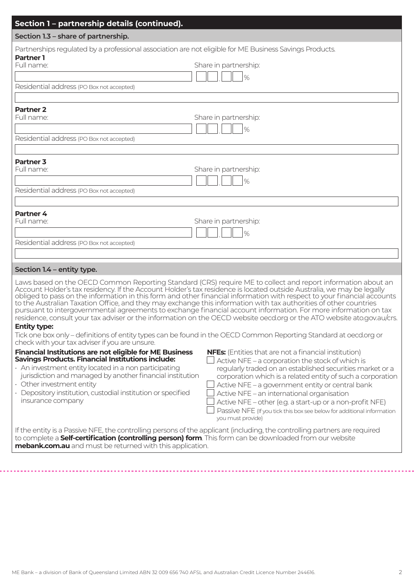|                                                                                                                                                                                                                                                                                                                                                                    | Partnerships regulated by a professional association are not eligible for ME Business Savings Products.                                                                                                                                                                                                                                                                                                                                                                                                                                                                                                                                                                                                                                                                                                                                                 |
|--------------------------------------------------------------------------------------------------------------------------------------------------------------------------------------------------------------------------------------------------------------------------------------------------------------------------------------------------------------------|---------------------------------------------------------------------------------------------------------------------------------------------------------------------------------------------------------------------------------------------------------------------------------------------------------------------------------------------------------------------------------------------------------------------------------------------------------------------------------------------------------------------------------------------------------------------------------------------------------------------------------------------------------------------------------------------------------------------------------------------------------------------------------------------------------------------------------------------------------|
| <b>Partner 1</b><br>Full name:                                                                                                                                                                                                                                                                                                                                     | Share in partnership:<br>$\frac{9}{6}$                                                                                                                                                                                                                                                                                                                                                                                                                                                                                                                                                                                                                                                                                                                                                                                                                  |
| Residential address (PO Box not accepted)                                                                                                                                                                                                                                                                                                                          |                                                                                                                                                                                                                                                                                                                                                                                                                                                                                                                                                                                                                                                                                                                                                                                                                                                         |
| <b>Partner 2</b><br>Full name:                                                                                                                                                                                                                                                                                                                                     | Share in partnership:<br>$\frac{9}{6}$                                                                                                                                                                                                                                                                                                                                                                                                                                                                                                                                                                                                                                                                                                                                                                                                                  |
| Residential address (PO Box not accepted)                                                                                                                                                                                                                                                                                                                          |                                                                                                                                                                                                                                                                                                                                                                                                                                                                                                                                                                                                                                                                                                                                                                                                                                                         |
| Partner <sub>3</sub><br>Full name:<br>Residential address (PO Box not accepted)                                                                                                                                                                                                                                                                                    | Share in partnership:<br>$\frac{9}{6}$                                                                                                                                                                                                                                                                                                                                                                                                                                                                                                                                                                                                                                                                                                                                                                                                                  |
|                                                                                                                                                                                                                                                                                                                                                                    |                                                                                                                                                                                                                                                                                                                                                                                                                                                                                                                                                                                                                                                                                                                                                                                                                                                         |
| Partner 4<br>Full name:                                                                                                                                                                                                                                                                                                                                            | Share in partnership:<br>$\%$                                                                                                                                                                                                                                                                                                                                                                                                                                                                                                                                                                                                                                                                                                                                                                                                                           |
| Residential address (PO Box not accepted)                                                                                                                                                                                                                                                                                                                          |                                                                                                                                                                                                                                                                                                                                                                                                                                                                                                                                                                                                                                                                                                                                                                                                                                                         |
| Section 1.4 - entity type.                                                                                                                                                                                                                                                                                                                                         |                                                                                                                                                                                                                                                                                                                                                                                                                                                                                                                                                                                                                                                                                                                                                                                                                                                         |
| <b>Entity type:</b><br>check with your tax adviser if you are unsure.                                                                                                                                                                                                                                                                                              | Laws based on the OECD Common Reporting Standard (CRS) require ME to collect and report information about an<br>Account Holder's tax residency. If the Account Holder's tax residence is located outside Australia, we may be legally<br>obliged to pass on the information in this form and other financial information with respect to your financial accounts<br>to the Australian Taxation Office, and they may exchange this information with tax authorities of other countries<br>pursuant to intergovernmental agreements to exchange financial account information. For more information on tax<br>residence, consult your tax adviser or the information on the OECD website oecd.org or the ATO website ato.gov.au/crs.<br>Tick one box only - definitions of entity types can be found in the OECD Common Reporting Standard at oecd.org or |
| <b>Financial Institutions are not eligible for ME Business</b><br><b>Savings Products. Financial Institutions include:</b><br>· An investment entity located in a non participating<br>jurisdiction and managed by another financial institution<br>• Other investment entity<br>· Depository institution, custodial institution or specified<br>insurance company | <b>NFEs:</b> (Entities that are not a financial institution)<br>Active NFE - a corporation the stock of which is<br>regularly traded on an established securities market or a<br>corporation which is a related entity of such a corporation<br>Active NFE - a government entity or central bank<br>Active NFE - an international organisation<br>Active NFE - other (e.g. a start-up or a non-profit NFE)<br>Passive NFE (If you tick this box see below for additional information<br>you must provide)                                                                                                                                                                                                                                                                                                                                               |
|                                                                                                                                                                                                                                                                                                                                                                    | If the entity is a Passive NFE, the controlling persons of the applicant (including, the controlling partners are required<br>to complete a <b>Self-certification (controlling person) form</b> . This form can be downloaded from our website                                                                                                                                                                                                                                                                                                                                                                                                                                                                                                                                                                                                          |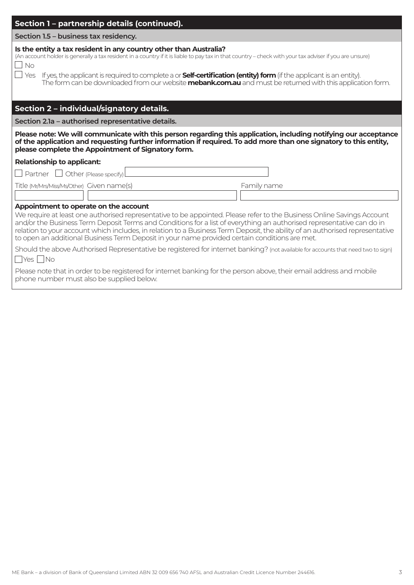| Section 1 – partnership details (continued).                                                                                                                                                                                                                                                                                                                                                                                                                                                                              |  |
|---------------------------------------------------------------------------------------------------------------------------------------------------------------------------------------------------------------------------------------------------------------------------------------------------------------------------------------------------------------------------------------------------------------------------------------------------------------------------------------------------------------------------|--|
| Section 1.5 - business tax residency.                                                                                                                                                                                                                                                                                                                                                                                                                                                                                     |  |
| Is the entity a tax resident in any country other than Australia?<br>(An account holder is generally a tax resident in a country if it is liable to pay tax in that country - check with your tax adviser if you are unsure)<br>$\Box$ No                                                                                                                                                                                                                                                                                 |  |
| $\Box$ Yes If yes, the applicant is required to complete a or <b>Self-certification (entity) form</b> (if the applicant is an entity).<br>The form can be downloaded from our website mebank.com.au and must be returned with this application form.                                                                                                                                                                                                                                                                      |  |
| Section 2 - individual/signatory details.                                                                                                                                                                                                                                                                                                                                                                                                                                                                                 |  |
| Section 2.1a - authorised representative details.                                                                                                                                                                                                                                                                                                                                                                                                                                                                         |  |
| Please note: We will communicate with this person regarding this application, including notifying our acceptance<br>of the application and requesting further information if required. To add more than one signatory to this entity,<br>please complete the Appointment of Signatory form.                                                                                                                                                                                                                               |  |
| <b>Relationship to applicant:</b>                                                                                                                                                                                                                                                                                                                                                                                                                                                                                         |  |
| $\Box$ Partner $\Box$<br>Other (Please specify)                                                                                                                                                                                                                                                                                                                                                                                                                                                                           |  |
| Title (Mr/Mrs/Miss/Ms/Other) Given name(s)<br>Family name                                                                                                                                                                                                                                                                                                                                                                                                                                                                 |  |
|                                                                                                                                                                                                                                                                                                                                                                                                                                                                                                                           |  |
| Appointment to operate on the account<br>We require at least one authorised representative to be appointed. Please refer to the Business Online Savings Account<br>and/or the Business Term Deposit Terms and Conditions for a list of everything an authorised representative can do in<br>relation to your account which includes, in relation to a Business Term Deposit, the ability of an authorised representative<br>to open an additional Business Term Deposit in your name provided certain conditions are met. |  |
| Should the above Authorised Representative be registered for internet banking? (not available for accounts that need two to sign)<br>$\Box$ Yes $\Box$ No                                                                                                                                                                                                                                                                                                                                                                 |  |
| Please note that in order to be registered for internet banking for the person above, their email address and mobile<br>phone number must also be supplied below.                                                                                                                                                                                                                                                                                                                                                         |  |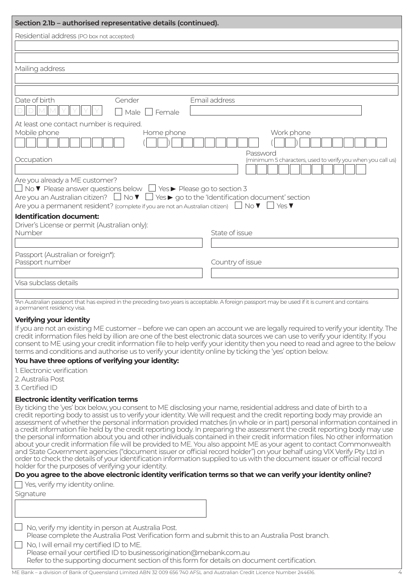| Section 2.1b - authorised representative details (continued).                                                                                                                                                                                                                                                                                                                                                                                                                                                                                                                                                                                                                                                                                                                                                                                                                                                                                                                                                                                                                                                               |  |  |
|-----------------------------------------------------------------------------------------------------------------------------------------------------------------------------------------------------------------------------------------------------------------------------------------------------------------------------------------------------------------------------------------------------------------------------------------------------------------------------------------------------------------------------------------------------------------------------------------------------------------------------------------------------------------------------------------------------------------------------------------------------------------------------------------------------------------------------------------------------------------------------------------------------------------------------------------------------------------------------------------------------------------------------------------------------------------------------------------------------------------------------|--|--|
| Residential address (PO box not accepted)                                                                                                                                                                                                                                                                                                                                                                                                                                                                                                                                                                                                                                                                                                                                                                                                                                                                                                                                                                                                                                                                                   |  |  |
|                                                                                                                                                                                                                                                                                                                                                                                                                                                                                                                                                                                                                                                                                                                                                                                                                                                                                                                                                                                                                                                                                                                             |  |  |
|                                                                                                                                                                                                                                                                                                                                                                                                                                                                                                                                                                                                                                                                                                                                                                                                                                                                                                                                                                                                                                                                                                                             |  |  |
| Mailing address                                                                                                                                                                                                                                                                                                                                                                                                                                                                                                                                                                                                                                                                                                                                                                                                                                                                                                                                                                                                                                                                                                             |  |  |
|                                                                                                                                                                                                                                                                                                                                                                                                                                                                                                                                                                                                                                                                                                                                                                                                                                                                                                                                                                                                                                                                                                                             |  |  |
|                                                                                                                                                                                                                                                                                                                                                                                                                                                                                                                                                                                                                                                                                                                                                                                                                                                                                                                                                                                                                                                                                                                             |  |  |
| Date of birth<br>Email address<br>Gender<br>Male<br>$\Box$ Female                                                                                                                                                                                                                                                                                                                                                                                                                                                                                                                                                                                                                                                                                                                                                                                                                                                                                                                                                                                                                                                           |  |  |
| At least one contact number is required.<br>Mobile phone<br>Home phone<br>Work phone<br>Password                                                                                                                                                                                                                                                                                                                                                                                                                                                                                                                                                                                                                                                                                                                                                                                                                                                                                                                                                                                                                            |  |  |
| Occupation<br>(minimum 5 characters, used to verify you when you call us)                                                                                                                                                                                                                                                                                                                                                                                                                                                                                                                                                                                                                                                                                                                                                                                                                                                                                                                                                                                                                                                   |  |  |
| Are you already a ME customer?<br>$\Box$ No $\blacktriangledown$ Please answer questions below $\Box$ Yes $\blacktriangleright$ Please go to section 3<br>Are you an Australian citizen? $\Box$ No $\blacktriangledown$ $\Box$ Yes $\blacktriangleright$ go to the 'Identification document' section<br>Are you a permanent resident? (complete if you are not an Australian citizen) $\Box$ No $\blacktriangledown$<br>$\mathsf{I}$ $\mathsf{I}$ Yes $\blacktriangledown$<br><b>Identification document:</b>                                                                                                                                                                                                                                                                                                                                                                                                                                                                                                                                                                                                               |  |  |
| Driver's License or permit (Australian only):<br>Number<br>State of issue                                                                                                                                                                                                                                                                                                                                                                                                                                                                                                                                                                                                                                                                                                                                                                                                                                                                                                                                                                                                                                                   |  |  |
|                                                                                                                                                                                                                                                                                                                                                                                                                                                                                                                                                                                                                                                                                                                                                                                                                                                                                                                                                                                                                                                                                                                             |  |  |
| Passport (Australian or foreign*):<br>Passport number<br>Country of issue                                                                                                                                                                                                                                                                                                                                                                                                                                                                                                                                                                                                                                                                                                                                                                                                                                                                                                                                                                                                                                                   |  |  |
|                                                                                                                                                                                                                                                                                                                                                                                                                                                                                                                                                                                                                                                                                                                                                                                                                                                                                                                                                                                                                                                                                                                             |  |  |
| Visa subclass details                                                                                                                                                                                                                                                                                                                                                                                                                                                                                                                                                                                                                                                                                                                                                                                                                                                                                                                                                                                                                                                                                                       |  |  |
| *An Australian passport that has expired in the preceding two years is acceptable. A foreign passport may be used if it is current and contains<br>a permanent residency visa.                                                                                                                                                                                                                                                                                                                                                                                                                                                                                                                                                                                                                                                                                                                                                                                                                                                                                                                                              |  |  |
| Verifying your identity<br>If you are not an existing ME customer - before we can open an account we are legally required to verify your identity. The<br>credit information files held by illion are one of the best electronic data sources we can use to verify your identity. If you<br>consent to ME using your credit information file to help verify your identity then you need to read and agree to the below<br>terms and conditions and authorise us to verify your identity online by ticking the 'yes' option below.<br>You have three options of verifying your identity:                                                                                                                                                                                                                                                                                                                                                                                                                                                                                                                                     |  |  |
| 1. Electronic verification                                                                                                                                                                                                                                                                                                                                                                                                                                                                                                                                                                                                                                                                                                                                                                                                                                                                                                                                                                                                                                                                                                  |  |  |
| 2. Australia Post                                                                                                                                                                                                                                                                                                                                                                                                                                                                                                                                                                                                                                                                                                                                                                                                                                                                                                                                                                                                                                                                                                           |  |  |
| 3. Certified ID                                                                                                                                                                                                                                                                                                                                                                                                                                                                                                                                                                                                                                                                                                                                                                                                                                                                                                                                                                                                                                                                                                             |  |  |
| <b>Electronic identity verification terms</b><br>By ticking the 'yes' box below, you consent to ME disclosing your name, residential address and date of birth to a<br>credit reporting body to assist us to verify your identity. We will request and the credit reporting body may provide an<br>assessment of whether the personal information provided matches (in whole or in part) personal information contained in<br>a credit information file held by the credit reporting body. In preparing the assessment the credit reporting body may use<br>the personal information about you and other individuals contained in their credit information files. No other information<br>about your credit information file will be provided to ME. You also appoint ME as your agent to contact Commonwealth<br>and State Government agencies ("document issuer or official record holder") on your behalf using VIX Verify Pty Ltd in<br>order to check the details of your identification information supplied to us with the document issuer or official record<br>holder for the purposes of verifying your identity. |  |  |
| Do you agree to the above electronic identity verification terms so that we can verify your identity online?<br>$\overline{\phantom{a}}$ Yes, verify my identity online.                                                                                                                                                                                                                                                                                                                                                                                                                                                                                                                                                                                                                                                                                                                                                                                                                                                                                                                                                    |  |  |
| Signature                                                                                                                                                                                                                                                                                                                                                                                                                                                                                                                                                                                                                                                                                                                                                                                                                                                                                                                                                                                                                                                                                                                   |  |  |
|                                                                                                                                                                                                                                                                                                                                                                                                                                                                                                                                                                                                                                                                                                                                                                                                                                                                                                                                                                                                                                                                                                                             |  |  |
| No, verify my identity in person at Australia Post.<br>Please complete the Australia Post Verification form and submit this to an Australia Post branch.<br>No, I will email my certified ID to ME.<br>Please email your certified ID to business.origination@mebank.com.au                                                                                                                                                                                                                                                                                                                                                                                                                                                                                                                                                                                                                                                                                                                                                                                                                                                 |  |  |
| Refer to the supporting document section of this form for details on document certification.                                                                                                                                                                                                                                                                                                                                                                                                                                                                                                                                                                                                                                                                                                                                                                                                                                                                                                                                                                                                                                |  |  |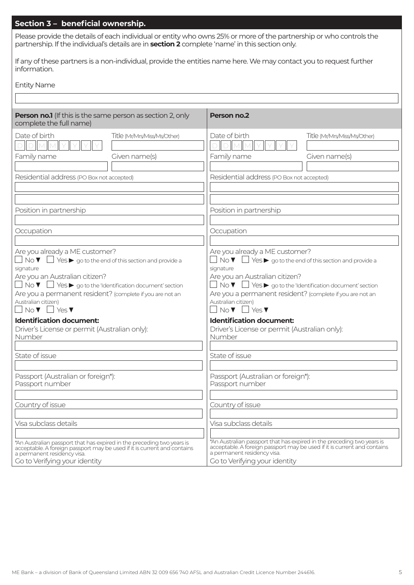## **Section 3 – beneficial ownership.**

Please provide the details of each individual or entity who owns 25% or more of the partnership or who controls the partnership. If the individual's details are in **section 2** complete 'name' in this section only.

If any of these partners is a non-individual, provide the entities name here. We may contact you to request further information.

| <b>Entity Name</b> |  |
|--------------------|--|
|--------------------|--|

| <b>Person no.1</b> (If this is the same person as section 2, only<br>complete the full name)                                                                                                                                                                                                                                                                                                                                              |                              | <b>Person no.2</b>                                                                                                                                                                                                                                                                                                                                                                                                                             |                                                                                                                                                    |
|-------------------------------------------------------------------------------------------------------------------------------------------------------------------------------------------------------------------------------------------------------------------------------------------------------------------------------------------------------------------------------------------------------------------------------------------|------------------------------|------------------------------------------------------------------------------------------------------------------------------------------------------------------------------------------------------------------------------------------------------------------------------------------------------------------------------------------------------------------------------------------------------------------------------------------------|----------------------------------------------------------------------------------------------------------------------------------------------------|
| Date of birth                                                                                                                                                                                                                                                                                                                                                                                                                             | Title (Mr/Mrs/Miss/Ms/Other) | Date of birth                                                                                                                                                                                                                                                                                                                                                                                                                                  | Title (Mr/Mrs/Miss/Ms/Other)                                                                                                                       |
| Family name                                                                                                                                                                                                                                                                                                                                                                                                                               | Given name(s)                | Family name                                                                                                                                                                                                                                                                                                                                                                                                                                    | Given name(s)                                                                                                                                      |
| Residential address (PO Box not accepted)                                                                                                                                                                                                                                                                                                                                                                                                 |                              | Residential address (PO Box not accepted)                                                                                                                                                                                                                                                                                                                                                                                                      |                                                                                                                                                    |
| Position in partnership                                                                                                                                                                                                                                                                                                                                                                                                                   |                              | Position in partnership                                                                                                                                                                                                                                                                                                                                                                                                                        |                                                                                                                                                    |
| Occupation                                                                                                                                                                                                                                                                                                                                                                                                                                |                              | Occupation                                                                                                                                                                                                                                                                                                                                                                                                                                     |                                                                                                                                                    |
| Are you already a ME customer?<br>$\Box$ No $\blacktriangledown$ $\Box$ Yes $\blacktriangleright$ go to the end of this section and provide a<br>signature<br>Are you an Australian citizen?<br>$\Box$ No $\blacktriangledown$ $\Box$ Yes $\blacktriangleright$ go to the 'Identification document' section<br>Are you a permanent resident? (complete if you are not an<br>Australian citizen)<br>$\Box$ No $\nabla$ $\Box$ Yes $\nabla$ |                              | Are you already a ME customer?<br>$\Box$ No $\blacktriangledown$ $\Box$ Yes $\blacktriangleright$ go to the end of this section and provide a<br>signature<br>Are you an Australian citizen?<br>$\Box$ No $\blacktriangledown$ $\Box$ Yes $\blacktriangleright$ go to the 'Identification document' section<br>Are you a permanent resident? (complete if you are not an<br>Australian citizen)<br>$No \blacktriangledown$ $\Box$ Yes $\nabla$ |                                                                                                                                                    |
| <b>Identification document:</b><br>Driver's License or permit (Australian only):<br>Number                                                                                                                                                                                                                                                                                                                                                |                              | <b>Identification document:</b><br>Driver's License or permit (Australian only):<br>Number                                                                                                                                                                                                                                                                                                                                                     |                                                                                                                                                    |
| State of issue                                                                                                                                                                                                                                                                                                                                                                                                                            |                              | State of issue                                                                                                                                                                                                                                                                                                                                                                                                                                 |                                                                                                                                                    |
| Passport (Australian or foreign*):<br>Passport number                                                                                                                                                                                                                                                                                                                                                                                     |                              | Passport (Australian or foreign*):<br>Passport number                                                                                                                                                                                                                                                                                                                                                                                          |                                                                                                                                                    |
| Country of issue                                                                                                                                                                                                                                                                                                                                                                                                                          |                              | Country of issue                                                                                                                                                                                                                                                                                                                                                                                                                               |                                                                                                                                                    |
| Visa subclass details                                                                                                                                                                                                                                                                                                                                                                                                                     |                              | Visa subclass details                                                                                                                                                                                                                                                                                                                                                                                                                          |                                                                                                                                                    |
| *An Australian passport that has expired in the preceding two years is<br>acceptable. A foreign passport may be used if it is current and contains<br>a permanent residency visa.<br>Go to Verifying your identity                                                                                                                                                                                                                        |                              | a permanent residency visa.<br>Go to Verifying your identity                                                                                                                                                                                                                                                                                                                                                                                   | *An Australian passport that has expired in the preceding two years is<br>acceptable. A foreign passport may be used if it is current and contains |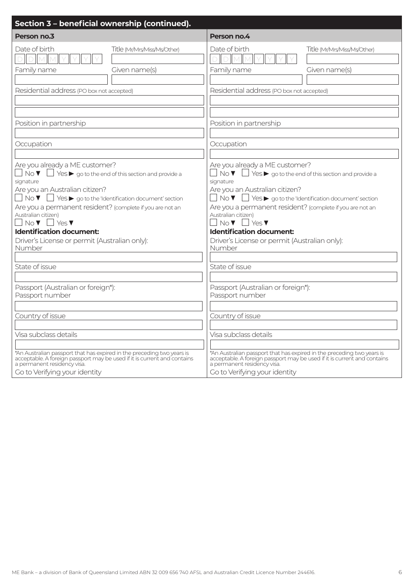| Section 3 - beneficial ownership (continued).                                                               |                                                                                                        |
|-------------------------------------------------------------------------------------------------------------|--------------------------------------------------------------------------------------------------------|
| Person no.3                                                                                                 | Person no.4                                                                                            |
| Date of birth<br>Title (Mr/Mrs/Miss/Ms/Other)<br>DIMI<br>Family name<br>Given name(s)                       | Date of birth<br>Title (Mr/Mrs/Miss/Ms/Other)<br>$\Box$<br>M<br>Family name<br>Given name(s)           |
| Residential address (PO box not accepted)                                                                   | Residential address (PO box not accepted)                                                              |
| Position in partnership                                                                                     | Position in partnership                                                                                |
| Occupation                                                                                                  | Occupation                                                                                             |
| Are you already a ME customer?                                                                              | Are you already a ME customer?                                                                         |
| $\Box$ No $\blacktriangledown$ $\Box$ Yes $\blacktriangleright$ go to the end of this section and provide a | $\mathsf{No}\,\mathbf{V} \ \Box$ Yes $\blacktriangleright$ go to the end of this section and provide a |
| signature                                                                                                   | signature                                                                                              |
| Are you an Australian citizen?                                                                              | Are you an Australian citizen?                                                                         |
| $\Box$ No $\blacktriangledown$ $\Box$ Yes $\blacktriangleright$ go to the 'Identification document' section | $\mathsf{No}\,\mathbf{V} \ \Box$ Yes $\blacktriangleright$ go to the 'Identification document' section |
| Are you a permanent resident? (complete if you are not an                                                   | Are you a permanent resident? (complete if you are not an                                              |
| Australian citizen)                                                                                         | Australian citizen)                                                                                    |
| $\Box$ No $\blacktriangledown$ $\Box$ Yes $\blacktriangledown$                                              | $No \triangledown$ $\blacksquare$ Yes $\nabla$                                                         |
| <b>Identification document:</b>                                                                             | <b>Identification document:</b>                                                                        |
| Driver's License or permit (Australian only):                                                               | Driver's License or permit (Australian only):                                                          |
| Number                                                                                                      | Number                                                                                                 |
| State of issue                                                                                              | State of issue                                                                                         |
| Passport (Australian or foreign*):                                                                          | Passport (Australian or foreign*):                                                                     |
| Passport number                                                                                             | Passport number                                                                                        |
| Country of issue                                                                                            | Country of issue                                                                                       |
| Visa subclass details                                                                                       | Visa subclass details                                                                                  |
| *An Australian passport that has expired in the preceding two years is                                      | *An Australian passport that has expired in the preceding two years is                                 |
| acceptable. A foreign passport may be used if it is current and contains                                    | acceptable. A foreign passport may be used if it is current and contains                               |
| a permanent residency visa.                                                                                 | a permanent residency visa.                                                                            |
| Go to Verifying your identity                                                                               | Go to Verifying your identity                                                                          |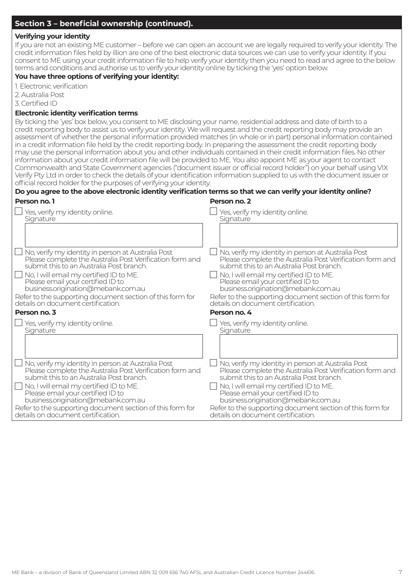#### **Verifying your identity**

If you are not an existing ME customer – before we can open an account we are legally required to verify your identity. The credit information files held by illion are one of the best electronic data sources we can use to verify your identity. If you consent to ME using your credit information file to help verify your identity then you need to read and agree to the below terms and conditions and authorise us to verify your identity online by ticking the 'yes' option below.

#### **You have three options of verifying your identity:**

1. Electronic verification

2. Australia Post

3. Certified ID

#### **Electronic identity verification terms**

By ticking the 'yes' box below, you consent to ME disclosing your name, residential address and date of birth to a credit reporting body to assist us to verify your identity. We will request and the credit reporting body may provide an assessment of whether the personal information provided matches (in whole or in part) personal information contained in a credit information file held by the credit reporting body. In preparing the assessment the credit reporting body may use the personal information about you and other individuals contained in their credit information files. No other information about your credit information file will be provided to ME. You also appoint ME as your agent to contact Commonwealth and State Government agencies ("document issuer or official record holder") on your behalf using VIX Verify Pty Ltd in order to check the details of your identification information supplied to us with the document issuer or official record holder for the purposes of verifying your identity.

| Do you agree to the above electronic identity verification terms so that we can verify your identity online? |                                                           |
|--------------------------------------------------------------------------------------------------------------|-----------------------------------------------------------|
| Person no. 1                                                                                                 | Person no. 2                                              |
| Yes, verify my identity online.                                                                              | Yes, verify my identity online.                           |
| Signature                                                                                                    | Signature                                                 |
|                                                                                                              |                                                           |
| No, verify my identity in person at Australia Post                                                           | No, verify my identity in person at Australia Post        |
| Please complete the Australia Post Verification form and                                                     | Please complete the Australia Post Verification form and  |
| submit this to an Australia Post branch.                                                                     | submit this to an Australia Post branch.                  |
| No, I will email my certified ID to ME.                                                                      | No, I will email my certified ID to ME.                   |
| Please email your certified ID to                                                                            | Please email your certified ID to                         |
| business.origination@mebank.com.au                                                                           | business.origination@mebank.com.au                        |
| Refer to the supporting document section of this form for                                                    | Refer to the supporting document section of this form for |
| details on document certification.                                                                           | details on document certification.                        |
| Person no. 3                                                                                                 | Person no. 4                                              |
| $\Box$ Yes, verify my identity online.                                                                       | Yes, verify my identity online.                           |
| Signature                                                                                                    | Signature                                                 |
|                                                                                                              |                                                           |
| No, verify my identity in person at Australia Post                                                           | No, verify my identity in person at Australia Post        |
| Please complete the Australia Post Verification form and                                                     | Please complete the Australia Post Verification form and  |
| submit this to an Australia Post branch.                                                                     | submit this to an Australia Post branch.                  |
| $\Box$ No, I will email my certified ID to ME.                                                               | No, I will email my certified ID to ME.                   |
| Please email your certified ID to                                                                            | Please email your certified ID to                         |
| business.origination@mebank.com.au                                                                           | business.origination@mebank.com.au                        |
| Refer to the supporting document section of this form for                                                    | Refer to the supporting document section of this form for |
| details on document certification.                                                                           | details on document certification.                        |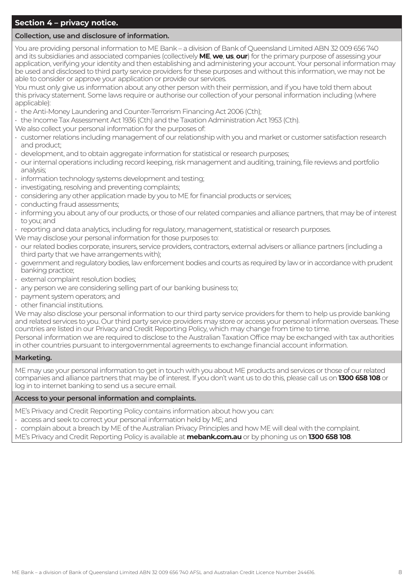## **Section 4 – privacy notice.**

#### **Collection, use and disclosure of information.**

You are providing personal information to ME Bank – a division of Bank of Queensland Limited ABN 32 009 656 740 and its subsidiaries and associated companies (collectively **ME**, **we**, **us**, **our**) for the primary purpose of assessing your application, verifying your identity and then establishing and administering your account. Your personal information may be used and disclosed to third party service providers for these purposes and without this information, we may not be able to consider or approve your application or provide our services.

You must only give us information about any other person with their permission, and if you have told them about this privacy statement. Some laws require or authorise our collection of your personal information including (where applicable):

- the Anti-Money Laundering and Counter-Terrorism Financing Act 2006 (Cth);
- the Income Tax Assessment Act 1936 (Cth) and the Taxation Administration Act 1953 (Cth).
- We also collect your personal information for the purposes of:
- customer relations including management of our relationship with you and market or customer satisfaction research and product;
- development, and to obtain aggregate information for statistical or research purposes;
- our internal operations including record keeping, risk management and auditing, training, file reviews and portfolio analysis;
- information technology systems development and testing;
- investigating, resolving and preventing complaints;
- considering any other application made by you to ME for financial products or services;
- conducting fraud assessments;
- informing you about any of our products, or those of our related companies and alliance partners, that may be of interest to you; and
- reporting and data analytics, including for regulatory, management, statistical or research purposes.
- We may disclose your personal information for those purposes to:
- our related bodies corporate, insurers, service providers, contractors, external advisers or alliance partners (including a third party that we have arrangements with);
- government and regulatory bodies, law enforcement bodies and courts as required by law or in accordance with prudent banking practice;
- external complaint resolution bodies;
- any person we are considering selling part of our banking business to;
- payment system operators; and
- other financial institutions.

We may also disclose your personal information to our third party service providers for them to help us provide banking and related services to you. Our third party service providers may store or access your personal information overseas. These countries are listed in our Privacy and Credit Reporting Policy, which may change from time to time.

Personal information we are required to disclose to the Australian Taxation Office may be exchanged with tax authorities in other countries pursuant to intergovernmental agreements to exchange financial account information.

#### **Marketing.**

ME may use your personal information to get in touch with you about ME products and services or those of our related companies and alliance partners that may be of interest. If you don't want us to do this, please call us on **1300 658 108** or log in to internet banking to send us a secure email.

#### **Access to your personal information and complaints.**

ME's Privacy and Credit Reporting Policy contains information about how you can:

- access and seek to correct your personal information held by ME; and
- complain about a breach by ME of the Australian Privacy Principles and how ME will deal with the complaint.

ME's Privacy and Credit Reporting Policy is available at **mebank.com.au** or by phoning us on **1300 658 108**.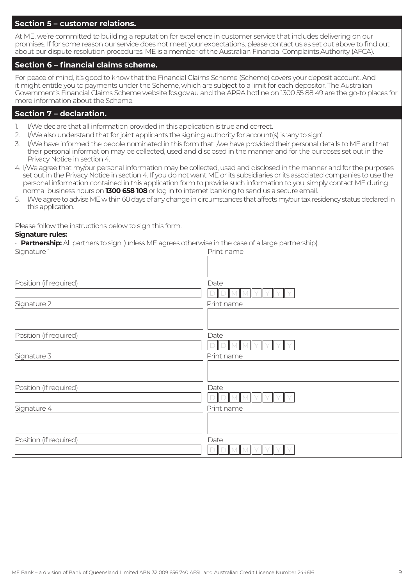#### **Section 5 – customer relations.**

At ME, we're committed to building a reputation for excellence in customer service that includes delivering on our promises. If for some reason our service does not meet your expectations, please contact us as set out above to find out about our dispute resolution procedures. ME is a member of the Australian Financial Complaints Authority (AFCA).

#### **Section 6 – financial claims scheme.**

For peace of mind, it's good to know that the Financial Claims Scheme (Scheme) covers your deposit account. And it might entitle you to payments under the Scheme, which are subject to a limit for each depositor. The Australian Government's Financial Claims Scheme website fcs.gov.au and the APRA hotline on 1300 55 88 49 are the go-to places for more information about the Scheme.

#### **Section 7 – declaration.**

- I/We declare that all information provided in this application is true and correct.
- 2. I/We also understand that for joint applicants the signing authority for account(s) is 'any to sign'.
- 3. I/We have informed the people nominated in this form that I/we have provided their personal details to ME and that their personal information may be collected, used and disclosed in the manner and for the purposes set out in the Privacy Notice in section 4.
- 4. I/We agree that my/our personal information may be collected, used and disclosed in the manner and for the purposes set out in the Privacy Notice in section 4. If you do not want ME or its subsidiaries or its associated companies to use the personal information contained in this application form to provide such information to you, simply contact ME during normal business hours on **1300 658 108** or log in to internet banking to send us a secure email.
- 5. I/We agree to advise ME within 60 days of any change in circumstances that affects my/our tax residency status declared in this application.

Please follow the instructions below to sign this form.

#### **Signature rules:**

• **Partnership:** All partners to sign (unless ME agrees otherwise in the case of a large partnership).

| Signature 1            | Print name |
|------------------------|------------|
|                        |            |
|                        |            |
| Position (if required) | Date       |
|                        |            |
| Signature 2            | Print name |
|                        |            |
| Position (if required) | Date       |
|                        |            |
| Signature 3            | Print name |
|                        |            |
|                        |            |
| Position (if required) | Date       |
|                        |            |
| Signature 4            | Print name |
|                        |            |
|                        |            |
| Position (if required) | Date       |
|                        |            |